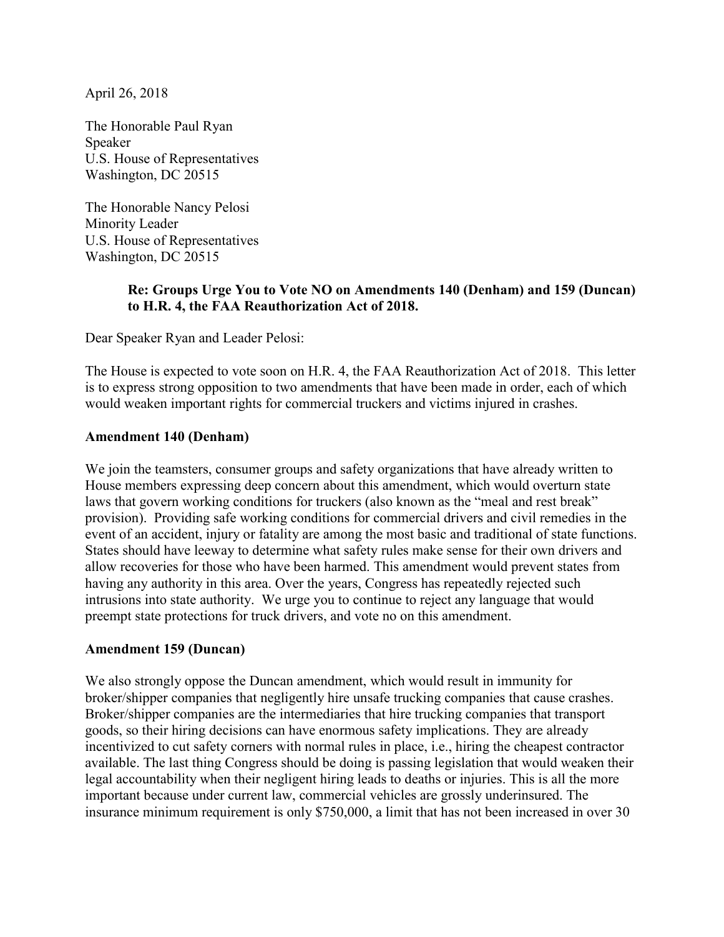April 26, 2018

The Honorable Paul Ryan Speaker U.S. House of Representatives Washington, DC 20515

The Honorable Nancy Pelosi Minority Leader U.S. House of Representatives Washington, DC 20515

## **Re: Groups Urge You to Vote NO on Amendments 140 (Denham) and 159 (Duncan) to H.R. 4, the FAA Reauthorization Act of 2018.**

Dear Speaker Ryan and Leader Pelosi:

The House is expected to vote soon on H.R. 4, the FAA Reauthorization Act of 2018. This letter is to express strong opposition to two amendments that have been made in order, each of which would weaken important rights for commercial truckers and victims injured in crashes.

## **Amendment 140 (Denham)**

We join the teamsters, consumer groups and safety organizations that have already written to House members expressing deep concern about this amendment, which would overturn state laws that govern working conditions for truckers (also known as the "meal and rest break" provision). Providing safe working conditions for commercial drivers and civil remedies in the event of an accident, injury or fatality are among the most basic and traditional of state functions. States should have leeway to determine what safety rules make sense for their own drivers and allow recoveries for those who have been harmed. This amendment would prevent states from having any authority in this area. Over the years, Congress has repeatedly rejected such intrusions into state authority. We urge you to continue to reject any language that would preempt state protections for truck drivers, and vote no on this amendment.

## **Amendment 159 (Duncan)**

We also strongly oppose the Duncan amendment, which would result in immunity for broker/shipper companies that negligently hire unsafe trucking companies that cause crashes. Broker/shipper companies are the intermediaries that hire trucking companies that transport goods, so their hiring decisions can have enormous safety implications. They are already incentivized to cut safety corners with normal rules in place, i.e., hiring the cheapest contractor available. The last thing Congress should be doing is passing legislation that would weaken their legal accountability when their negligent hiring leads to deaths or injuries. This is all the more important because under current law, commercial vehicles are grossly underinsured. The insurance minimum requirement is only \$750,000, a limit that has not been increased in over 30